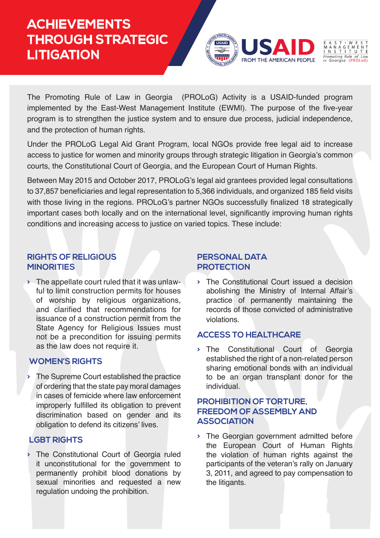# **ACHIEVEMENTS THROUGH STRATEGIC LITIGATION**



The Promoting Rule of Law in Georgia (PROLoG) Activity is a USAID-funded program implemented by the East-West Management Institute (EWMI). The purpose of the five-year program is to strengthen the justice system and to ensure due process, judicial independence, and the protection of human rights.

Under the PROLoG Legal Aid Grant Program, local NGOs provide free legal aid to increase access to justice for women and minority groups through strategic litigation in Georgia's common courts, the Constitutional Court of Georgia, and the European Court of Human Rights.

Between May 2015 and October 2017, PROLoG's legal aid grantees provided legal consultations to 37,857 beneficiaries and legal representation to 5,366 individuals, and organized 185 field visits with those living in the regions. PROLoG's partner NGOs successfully finalized 18 strategically important cases both locally and on the international level, significantly improving human rights conditions and increasing access to justice on varied topics. These include:

### **RIGHTS OF RELIGIOUS MINORITIES**

**>** The appellate court ruled that it was unlawful to limit construction permits for houses of worship by religious organizations, and clarified that recommendations for issuance of a construction permit from the State Agency for Religious Issues must not be a precondition for issuing permits as the law does not require it.

# **WOMEN'S RIGHTS**

**>** The Supreme Court established the practice of ordering that the state pay moral damages in cases of femicide where law enforcement improperly fulfilled its obligation to prevent discrimination based on gender and its obligation to defend its citizens' lives.

# **LGBT RIGHTS**

**>** The Constitutional Court of Georgia ruled it unconstitutional for the government to permanently prohibit blood donations by sexual minorities and requested a new regulation undoing the prohibition.

#### **PERSONAL DATA PROTECTION**

**>** The Constitutional Court issued a decision abolishing the Ministry of Internal Affair's practice of permanently maintaining the records of those convicted of administrative violations.

# **ACCESS TO HEALTHCARE**

**>** The Constitutional Court of Georgia established the right of a non-related person sharing emotional bonds with an individual to be an organ transplant donor for the individual.

### **PROHIBITION OF TORTURE, FREEDOM OF ASSEMBLY AND ASSOCIATION**

**>** The Georgian government admitted before the European Court of Human Rights the violation of human rights against the participants of the veteran's rally on January 3, 2011, and agreed to pay compensation to the litigants.